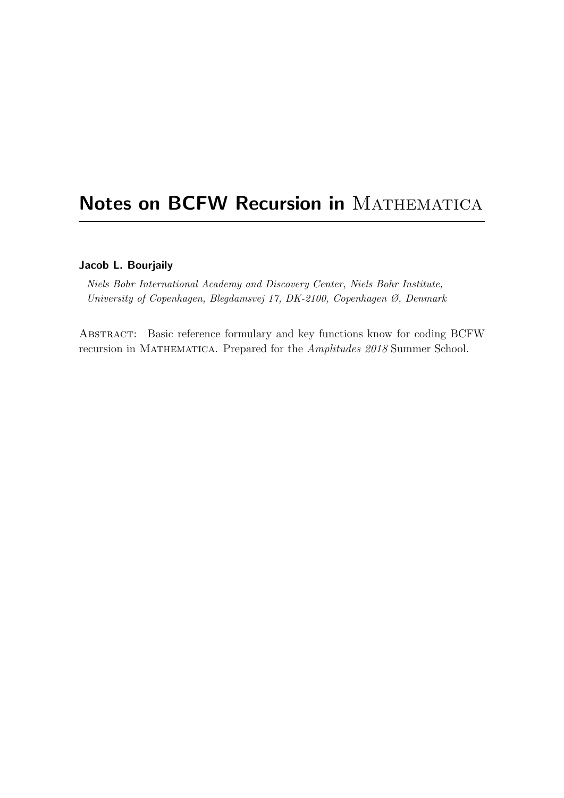# Notes on BCFW Recursion in MATHEMATICA

### Jacob L. Bourjaily

Niels Bohr International Academy and Discovery Center, Niels Bohr Institute, University of Copenhagen, Blegdamsvej 17, DK-2100, Copenhagen Ø, Denmark

Abstract: Basic reference formulary and key functions know for coding BCFW recursion in MATHEMATICA. Prepared for the Amplitudes 2018 Summer School.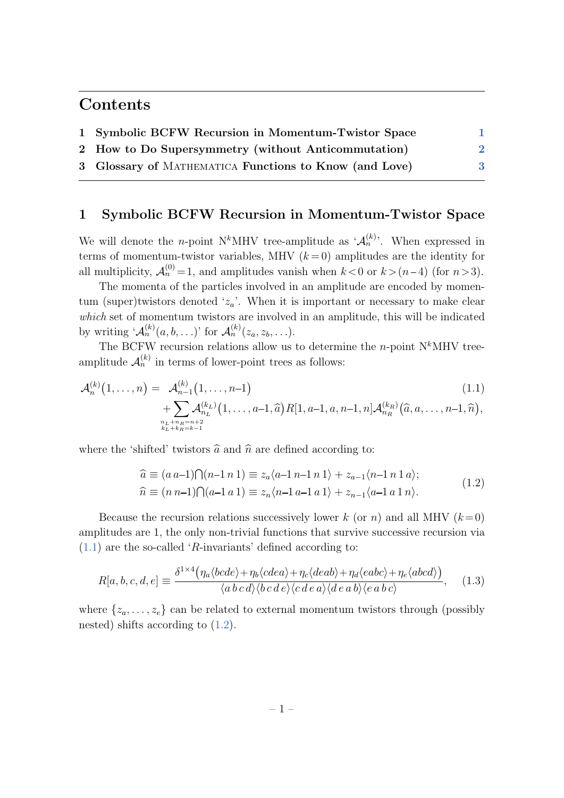# Contents

| 1 Symbolic BCFW Recursion in Momentum-Twistor Space    |  |
|--------------------------------------------------------|--|
| 2 How to Do Supersymmetry (without Anticommutation)    |  |
| 3 Glossary of MATHEMATICA Functions to Know (and Love) |  |

## <span id="page-1-0"></span>1 Symbolic BCFW Recursion in Momentum-Twistor Space

We will denote the *n*-point N<sup>k</sup>MHV tree-amplitude as  $\mathcal{A}_n^{(k)}$ . When expressed in terms of momentum-twistor variables, MHV  $(k=0)$  amplitudes are the identity for all multiplicity,  $\mathcal{A}_n^{(0)} = 1$ , and amplitudes vanish when  $k < 0$  or  $k > (n-4)$  (for  $n > 3$ ).

The momenta of the particles involved in an amplitude are encoded by momentum (super)twistors denoted ' $z_a$ '. When it is important or necessary to make clear which set of momentum twistors are involved in an amplitude, this will be indicated by writing  $^{\iota} \mathcal{A}_n^{(k)}(a, b, \ldots)$ ' for  $\mathcal{A}_n^{(k)}(z_a, z_b, \ldots)$ .

The BCFW recursion relations allow us to determine the *n*-point  $N^k$ MHV treeamplitude  $\mathcal{A}_n^{(k)}$  in terms of lower-point trees as follows:

$$
\mathcal{A}_n^{(k)}(1,\ldots,n) = \mathcal{A}_{n-1}^{(k)}(1,\ldots,n-1)
$$
\n
$$
+ \sum_{\substack{n_L+n_R=n+2\\k_L+k_R=k-1}} \mathcal{A}_{n_L}^{(k_L)}(1,\ldots,a-1,\widehat{a}) R[1,a-1,a,n-1,n] \mathcal{A}_{n_R}^{(k_R)}(\widehat{a},a,\ldots,n-1,\widehat{n}),
$$
\n(1.1)

<span id="page-1-2"></span>where the 'shifted' twistors  $\hat{a}$  and  $\hat{n}$  are defined according to:

<span id="page-1-1"></span>
$$
\begin{aligned}\n\widehat{a} &\equiv (a\,a-1)\bigcap (n-1\,n\,1) \equiv z_a \langle a-1\,n-1\,n\,1 \rangle + z_{a-1} \langle n-1\,n\,1\,a \rangle; \\
\widehat{n} &\equiv (n\,n-1)\bigcap (a-1\,a\,1) \equiv z_n \langle n-1\,a-1\,a\,1 \rangle + z_{n-1} \langle a-1\,a\,1\,n \rangle.\n\end{aligned}\n\tag{1.2}
$$

Because the recursion relations successively lower k (or n) and all MHV  $(k=0)$ amplitudes are 1, the only non-trivial functions that survive successive recursion via  $(1.1)$  are the so-called 'R-invariants' defined according to:

$$
R[a, b, c, d, e] \equiv \frac{\delta^{1 \times 4} \left( \eta_a \langle bcde \rangle + \eta_b \langle cdea \rangle + \eta_c \langle deab \rangle + \eta_d \langle eabc \rangle + \eta_e \langle abcd \rangle \right)}{\langle a \, b \, c \, d \rangle \langle b \, c \, d \, e \rangle \langle c \, d \, e \, a \rangle \langle de \, a \, b \rangle \langle e \, a \, b \, c \rangle}, \quad (1.3)
$$

where  $\{z_a, \ldots, z_e\}$  can be related to external momentum twistors through (possibly nested) shifts according to [\(1.2\)](#page-1-2).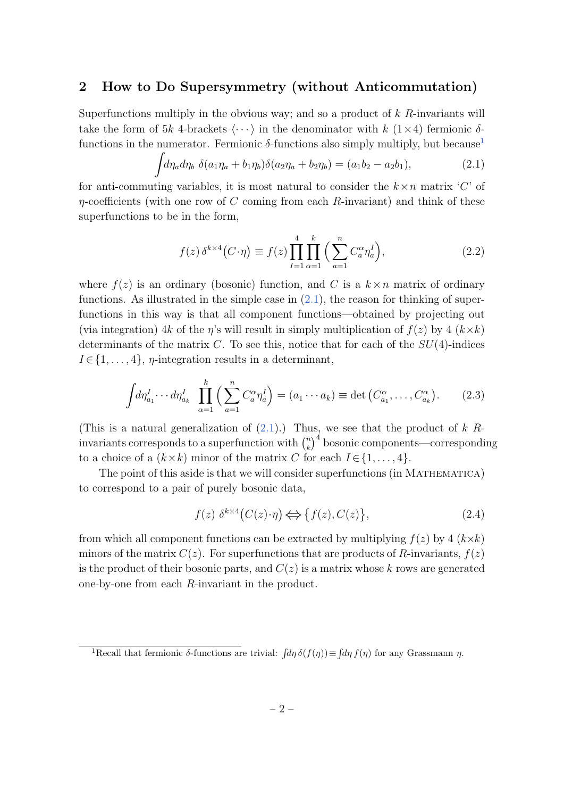### <span id="page-2-0"></span>2 How to Do Supersymmetry (without Anticommutation)

Superfunctions multiply in the obvious way; and so a product of  $k$  R-invariants will take the form of 5k 4-brackets  $\langle \cdots \rangle$  in the denominator with k  $(1\times 4)$  fermionic δfunctions in the numerator. Fermionic  $\delta$ -functions also simply multiply, but because<sup>[1](#page-2-1)</sup>

<span id="page-2-2"></span>
$$
\int d\eta_a d\eta_b \ \delta(a_1 \eta_a + b_1 \eta_b) \delta(a_2 \eta_a + b_2 \eta_b) = (a_1 b_2 - a_2 b_1), \tag{2.1}
$$

for anti-commuting variables, it is most natural to consider the  $k \times n$  matrix 'C' of  $\eta$ -coefficients (with one row of C coming from each R-invariant) and think of these superfunctions to be in the form,

$$
f(z)\,\delta^{k\times 4}\big(C\cdot\eta\big) \equiv f(z)\prod_{I=1}^4 \prod_{\alpha=1}^k \Big(\sum_{a=1}^n C_a^{\alpha}\eta_a^I\Big),\tag{2.2}
$$

where  $f(z)$  is an ordinary (bosonic) function, and C is a  $k \times n$  matrix of ordinary functions. As illustrated in the simple case in  $(2.1)$ , the reason for thinking of superfunctions in this way is that all component functions—obtained by projecting out (via integration) 4k of the  $\eta$ 's will result in simply multiplication of  $f(z)$  by 4  $(k \times k)$ determinants of the matrix  $C$ . To see this, notice that for each of the  $SU(4)$ -indices  $I \in \{1, \ldots, 4\}, \eta$ -integration results in a determinant,

$$
\int d\eta_{a_1}^I \cdots d\eta_{a_k}^I \prod_{\alpha=1}^k \left( \sum_{a=1}^n C_a^{\alpha} \eta_a^I \right) = (a_1 \cdots a_k) \equiv \det \left( C_{a_1}^{\alpha}, \dots, C_{a_k}^{\alpha} \right). \tag{2.3}
$$

(This is a natural generalization of  $(2.1)$ .) Thus, we see that the product of k Rinvariants corresponds to a superfunction with  $\binom{n}{k}$  $\binom{n}{k}^4$  bosonic components—corresponding to a choice of a  $(k \times k)$  minor of the matrix C for each  $I \in \{1, \ldots, 4\}$ .

The point of this aside is that we will consider superfunctions (in MATHEMATICA) to correspond to a pair of purely bosonic data,

$$
f(z) \ \delta^{k \times 4} (C(z) \cdot \eta) \Longleftrightarrow \{ f(z), C(z) \}, \tag{2.4}
$$

from which all component functions can be extracted by multiplying  $f(z)$  by 4  $(k \times k)$ minors of the matrix  $C(z)$ . For superfunctions that are products of R-invariants,  $f(z)$ is the product of their bosonic parts, and  $C(z)$  is a matrix whose k rows are generated one-by-one from each R-invariant in the product.

<span id="page-2-1"></span><sup>&</sup>lt;sup>1</sup>Recall that fermionic  $\delta$ -functions are trivial:  $\int d\eta \, \delta(f(\eta)) \equiv \int d\eta \, f(\eta)$  for any Grassmann  $\eta$ .